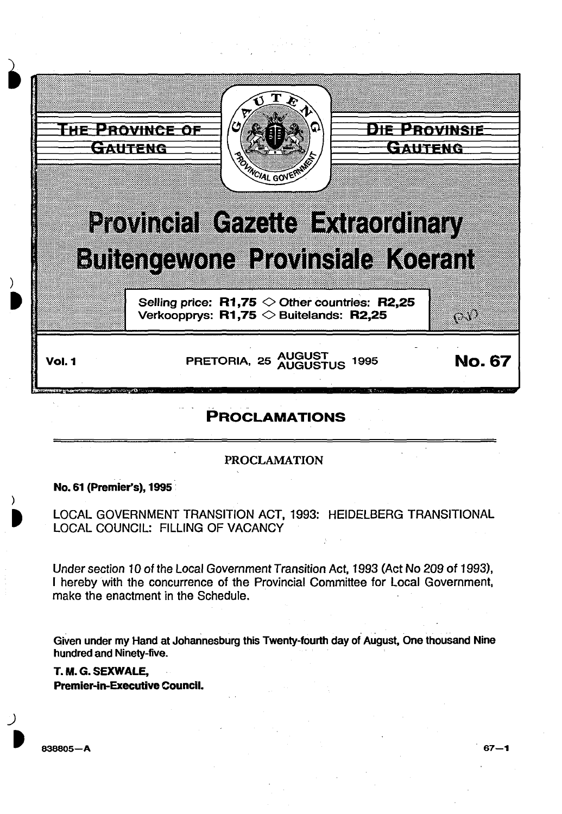

### PROCLAMATION

No. 61 (Premier's), 1995 ·

 $\begin{bmatrix} 1 & 1 \\ 1 & 1 \\ 1 & 1 \\ 1 & 1 \\ 1 & 1 \\ 1 & 1 \\ 1 & 1 \\ 1 & 1 \\ 1 & 1 \\ 1 & 1 \\ 1 & 1 \\ 1 & 1 \\ 1 & 1 \\ 1 & 1 \\ 1 & 1 \\ 1 & 1 \\ 1 & 1 \\ 1 & 1 \\ 1 & 1 \\ 1 & 1 \\ 1 & 1 \\ 1 & 1 \\ 1 & 1 \\ 1 & 1 \\ 1 & 1 \\ 1 & 1 \\ 1 & 1 \\ 1 & 1 \\ 1 & 1 \\ 1 & 1 \\ 1 & 1 \\ 1 & 1 \\ 1 & 1 \\ 1 & 1 \\ 1 & 1 \\ 1 &$ LOCAL GOVERNMENT TRANSITION ACT, 1993: HEIDELBERG TRANSITIONAL LOCAL COUNCIL: FILLING OF VACANCY

Under section 10 of the Local Government Transition Act, 1993 (Act No 209 of 1993), I hereby with the concurrence of the Provincial Committee for Local Government, make the enactment in the Schedule.

Given under my Hand at Johannesburg this Twenty-fourth day of August, One thousand Nine hundred and Ninety-five.

### T. M.G. SEXWALE,

Premier-in-Executive Council.

)

)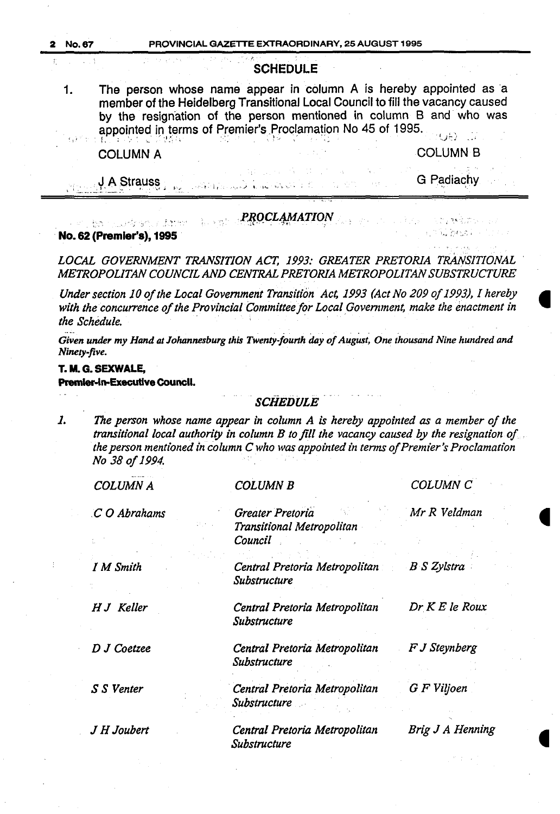$\sim 12^{10}$  .

#### **SCHEDULE**

1. The person whose name appear in column A is hereby appointed as a member of the Heidelberg Transitional Local Council to fill the vacancy caused by the resignation of the person mentioned in column B and· who was appointed in terms of Premier's Proclamation No 45 of 1995.  $\sim$ 

COLUMN A COLUMN B

**J A Strauss** 

G Padiachy.

# $PROCLAMATION$

#### **-No. 62 (Premier's), 1995**

*LOCAL GOVERNMENT TRANSITION ACT, 1993: GREATER PRETORIA TRANSITIONAL METROPOLITAN COUNCIL AND CENTRAL PRETORIA METROPOLITAN SUBSTRUCTURE* 

*Under section 10 of the Local Government Transition Act 1993 (Act No 209 of 1993), I hereby* • with the concurrence of the Provincial Committee for Local Government, make the enactment in  $the$  *Schedule.* 

. . . . . . . . *Given under* my *Hand at Johannesburg this Twenty-fourth* doy *of August, One thousand Nine hundred and Ninety-five.* 

## **T. M.G. SEXWALE, Premler-ln-Exeeutlve Council.**

#### *SCHEDULE-*

1. *The person whose name appear in column A is hereby appointed* as *a member of the transitional local authority in column B to fill the vacancy caused by the resignation of* . *the person mentioned in column C who* was *appointed in terms of Premier's Proclamation No 38 of 1994.* 

| COLUMN A    | <b>COLUMN B</b>                                          | COLUMN <sub>C</sub>       |
|-------------|----------------------------------------------------------|---------------------------|
| CO Abrahams | Greater Pretoria<br>Transitional Metropolitan<br>Council | Mr R Veldman              |
| I M Smith   | Central Pretoria Metropolitan<br>Substructure            | B S Zylstra               |
| H J Keller  | Central Pretoria Metropolitan<br>Substructure            | $Dr$ $K$ $E$ $le$ $R$ oux |
| D J Coetzee | Central Pretoria Metropolitan<br>Substructure            | F J Steynberg             |
| S S Venter  | Central Pretoria Metropolitan<br>Substructure            | G F Viljoen               |
| J H Joubert | Central Pretoria Metropolitan<br>Substructure            | Brig J A Henning          |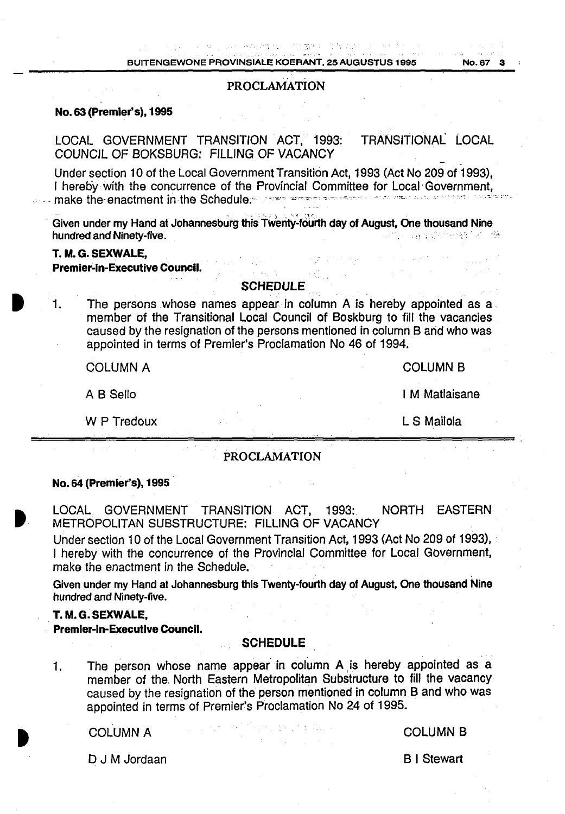#### No. 63 (Premier's), 1995

LOCAL GOVERNMENT TRANSITION ACT, 1993: TRANSITIONAL LOCAL COUNCIL OF 80KS8URG: FILLING OF VACANCY

Under section 10 of the Local Government Transition Act, 1993 (Act No 209 of 1993), I hereby with the concurrence of the Provincial Committee for Local· Government, make the enactment in the Schedule; www.www.communication

- '. -~ •. \_\_ ,\_,) • --~ :"t:( · Given under my Hand at Johannesburg this Twenty-fourth day of August, One thousand Nine hundred and Ninety-five. .. . '

### T. M.G. SEXWALE, Premier-In-Executive Council.

SCHEDULE

• 1. The persons whose names appear in column A is hereby appointed as a . member of the Transitional Local Council of 8oskburg to fill the vacancies caused by the resignation of the persons mentioned in column B and who was appointed in terms of Premier's Proclamation No 46 of 1994.

COLUMN A COLUMN B

A B Sello I M Matlaisane

W P Tredoux L S Mailola

### PROCLAMATION

#### No. s4 (Premler's),1995 ·

 $\begin{bmatrix} 1 \\ 1 \\ 1 \end{bmatrix}$ LOCAL. GOVERNMENT TRANSITION ACT, 1993: NORTH EASTERN METROPOLITAN SUBSTRUCTURE: FILLING OF VACANCY

Under section 10 of the Local Government Transition Act, 1993 (Act No 209 of 1993), . I hereby with the concurrence of the Provincial Committee for Local Government, make the enactment in the Schedule.

Given under my Hand at Johannesburg this Twenty-fourth day of August, One thousand Nine hundred and Ninety-five.

### . T. M.G.SEXWALE,

#### Premier-In-Executive Council.

### SCHEDULE

• 1. The person whose name appear in column  $A$  is hereby appointed as a member of the. North Eastern Metropolitan Substructure to fill the vacancy caused by the resignation of the person mentioned in column B and who was appointed in terms of Premier's Proclamation No 24 of 1995.

COLUMN A COLUMN B

D J M Jordaan 8 I Stewart 1990 Stewart 1990 Stewart 1990 Stewart 1990 Stewart 1990 Stewart 1990 Stewart 1990 Stewart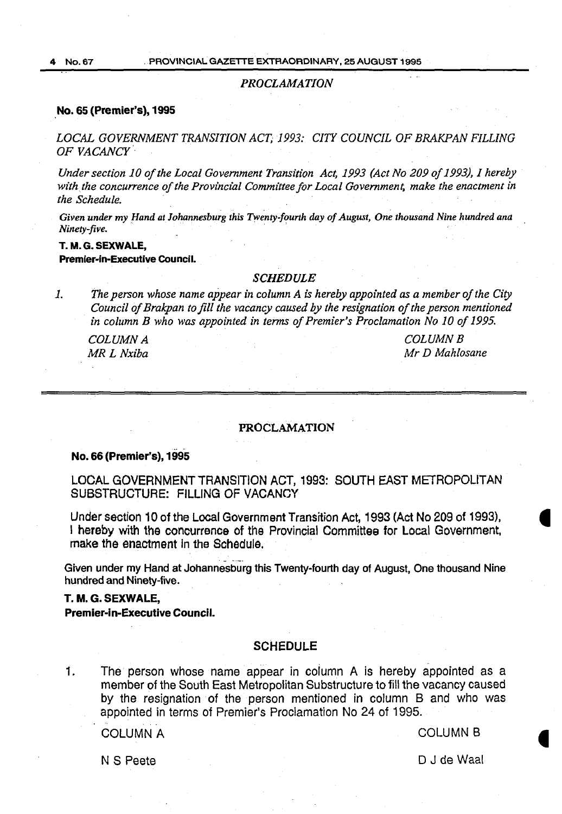#### **No. 65 (Premier's), 1995**

*LOCAL GOVERNMENT TRANSITION ACT; 1993: CITY COUNCIL OF BRAKPAN FILLING OF VACANCY* 

Under section 10 of the Local Government Transition Act, 1993 (Act No 209 of 1993), I hereby with the concurrence of the Provincial Committee for Local Government, make the enactment in *the Schedule.* 

*Given under* my *Hand at Johannesburg this Twenty-fourth* day *of August, One thousand Nine hundred ana Ninety-five.* · '

### **T. M.G. SEXWALE, Premier-in-Executive Council.**

#### *SCHEDULE*

1. The person whose name appear in column A is hereby appointed as a member of the City *Council of Brakpan to fill the vacancy caused by the resignation of the person mentioned*  in column B who was appointed in terms of Premier's Proclamation No 10 of 1995.

*COLUMN A COLUMN B MR LNxiba Mr D Mahlosane* 

#### PROCLAMATION

#### **No. 66 (Premier's), 1995**

LOCAL GOVERNMENT TRANSITION ACT, 1993: SOUTH EAST METROPOLITAN SUBSTRUCTURE: FILLING OF VACANCY

Under section 10 of the Local Government Transition Act, 1993 (Act No 209 of 1993), I hereby with the concurrence of the Provincial Committee for Local Government, make the enactment in the Schedule.

Given under my Hand at Johannesburg this Twenty-fourth day of August, One thousand Nine hundred and Ninety-five.

### **T. M.G. SEXWALE, Premier-in-Executive Council.**

### **SCHEDULE**

1. The person whose name appear in column A is hereby appointed as a member of the South East Metropolitan Substructure to fill the vacancy caused by the resignation of the person mentioned in column B and who was appointed in terms of Premier's Proclamation No 24 of 1995. N S Peete D J de Waal •

COLUMN A COLUMN B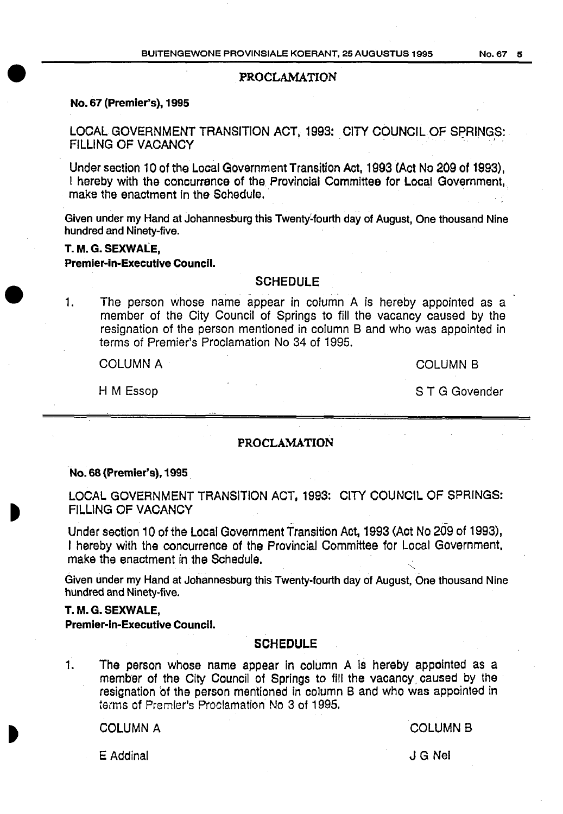### No. 67 (Premier's), 1995

 $\bullet$ 

•

LOCAL GOVERNMENT TRANSITION ACT, 1993: CITY COUNCIL OF SPRINGS: FILLING OF VACANCY

Under section 10 of the Local Government Transition Act, 1993 (Act No 209 of 1993), I hereby with the concurrence of the Provincial Committee for Local Government, make the enactment in the Schedule.

Given under my Hand at Johannesburg this Twenty~fourth day of August, One thousand Nine hundred and Ninety-five.

### T. M.G. SEXWALE, Premier-in-Executive Council.

SCHEDULE

1. The person whose name appear in column A is hereby appointed as a member of the City Council of Springs to fill the vacancy caused by the resignation of the person mentioned in column B and who was appointed in terms of Premier's Proclamation No 34 of 1995.

COLUMN A COLUMN B

H M Essop S T G Govender

### PROCLAMATION

-No. 68 (Premier's), 1995

LOCAL GOVERNMENT TRANSITION ACT, 1993: CITY COUNCIL OF SPRINGS: FILLING OF VACANCY - ·-

Under section 10 of the Local Government Transition Act, 1993 (Act No 209 of 1993), I hereby with the concurrence of the Provincial Committee for Local Government, make the enactment in the Schedule.

Given under my Hand at Johannesburg this Twenty-fourth day of August, One thousand Nine hundred and Ninety-five.

### T. M.G. SEXWALE,

### Premier-In-Executive Council.

### **SCHEDULE**

1. The person whose name appear in column A is hereby appointed as a member of the City Council of Springs to fill the vacancy, caused by the resignation bf the person mentioned in column B and who was appointed in terms of Premier's Proclamation No 3 of 1995.

COLUMN A COLUMN B

E Addinal J G Nel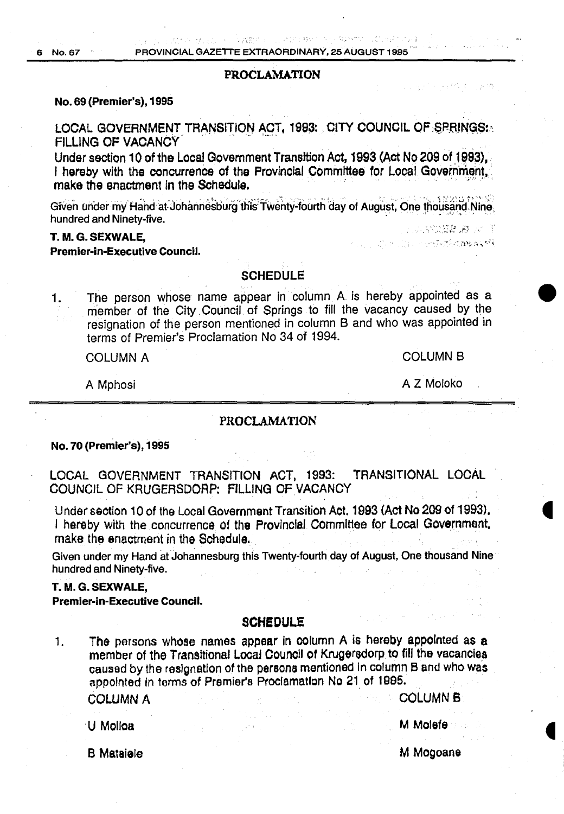#### No. 69 (Premier's), 1995

LOCAL GOVERNMENT TRANSITION ACT, 1993: , CITY COUNCIL OF SPRINGS: ...<br>FILLING OF VACANCY

Under section 10 of the Local Government Transition Act, 1993 (Act No 209 of 1993), I hereby with the concurrence of the Provincial Committee for Local Government. make the enactment in the Schedule.

Given under my Hand at Johannesburg this Twenty-fourth day of August, One thousand Nine. hundred and Ninety-five.  $\blacksquare$  .  $\blacksquare$  .  $\blacksquare$  .  $\blacksquare$  .  $\blacksquare$  .  $\blacksquare$  .  $\blacksquare$  .  $\blacksquare$  .  $\blacksquare$  .  $\blacksquare$  .  $\blacksquare$  .  $\blacksquare$  .  $\blacksquare$  .  $\blacksquare$  .  $\blacksquare$  .  $\blacksquare$  .  $\blacksquare$  .  $\blacksquare$  .  $\blacksquare$  .  $\blacksquare$  .  $\blacksquare$  .  $\blacksquare$ 

### T. M. G. SEXWALE, Premier-in-Executive Council.

### **SCHEDULE**

1. The person whose name appear in column A is hereby appointed as a m'ember of the City Council of Springs to fill the vacancy caused by the resignation of the person mentioned in column B and who was appointed in terms of Premier's Proclamation No 34 of 1994.

COLUMN A COLUMN B

 $\tau_{\rm eff}$  :-  $\sim$   $\sim$   $\tau_{\rm eff}$  ,  $\tau_{\rm eff}$  ,  $\mu_{\rm eff}$  ,  $\sim$   $\sim$ 

**•** 

A Mphosi A Z Moloko

### PROCLAMATION

#### No. 70 (Premier's), 1995

LOCAL GOVERNMENT TRANSITION ACT, 1993: TRANSITIONAL LOCAL COUNCIL OF KRUGERSDORP: FILLING OF VACANCY

Under section 10 of the Local Government Transition Act. 1993 (Act No209 of 1993). I hereby with the concurrence of the Provincial Committee for Local Government. make the enactment in the Schedule.

Given under my Hand at Johannesburg this Twenty-fourth day of August, One thousand Nine hundred and Ninety-five.

# T. M.G. SEXWALE,

### Premier-in-Executive Council.

### **SCHEDULE**

1. The persons whose names appear in column A is hereby appointed as a member of the Transitional Local Council of Krugersdorp to fill the vacancies caused by the resignation of the persons mentioned in column B and who was appointed in terms of Premier's Proclamation No 21 of 1995. COLUMN A COLUMN 8

·u Molloa M Molefe

B Mataiele Mataiele M Mogoane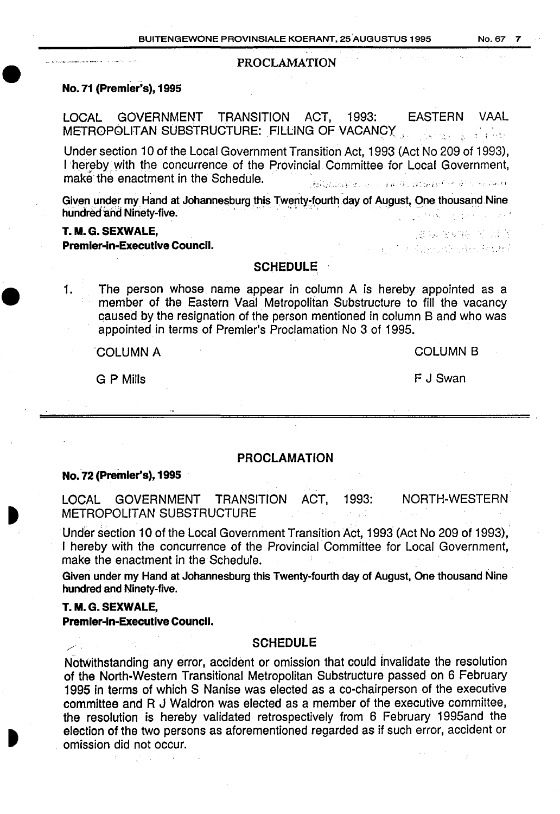### No. 71 (Premier's),1995

•

•

•

•

LOCAL GOVERNMENT TRANSITION ACT, 1993: EASTERN VAAL METROPOLITAN SUBSTRUCTURE: FILLING OF VACANCY.

Under section 10 of the Local Government Transition Act, 1993 (Act No 209 of 1993), I hereby with the concurrence of the Provincial Committee for Local Government, make the enactment in the Schedule. ~~>,~·,',,.·.:·~ ·: .l,; :;\_ -~·.:\_.·;:~.-' .• •; • *··-!* •I

Given under my Hand at Johannesburg this Twenty-fourth day of August, One thousand Nine hundred and Ninety-five.

### T. M.G. SEXWALE, Premier-In-Executive Council.

### **SCHEDULE**

1. The person whose name appear in column A is hereby appointed as a member of the Eastern Vaal Metropolitan Substructure to fill the vacancy caused by the resignation of the person mentioned in column B and who was appointed in terms of Premier's Proclamation No 3 of 1995.

'COLUMN A COLUMN B

脚球 网络物 机调整 **Systems** Service State 1980

G P Mills **G P Mills** 

### PROCLAMATION

### No. 72 (Premier's), 1995

LOCAL GOVERNMENT TRANSITION ACT, 1993: NORTH-WESTERN METROPOLITAN SUBSTRUCTURE

Under section 10 of the Local Government Transition Act, 1993 (Act No 209 of 1993), I hereby with the concurrence of the Provincial Committee for Local Government, make the enactment in the Schedule.

Given under my Hand at Johannesburg this Twenty-fourth day of August, One thousand Nine hundred and Ninety-five.

### T. M.G. SEXWALE,

#### Premier-In-Executive Council.

#### **SCHEDULE**

Notwithstanding any error, accident or omission that could invalidate the resolution of the North-Western Transitional Metropolitan Substructure passed on 6 February 1995 in terms of which S Nanise was elected as a co-chairperson of the executive committee and R J Waldron was elected as a member of the executive committee, the resolution is hereby validated retrospectively from 6 February 1995and the election of the two persons as aforementioned regarded as if such error, accident or omission did not occur.